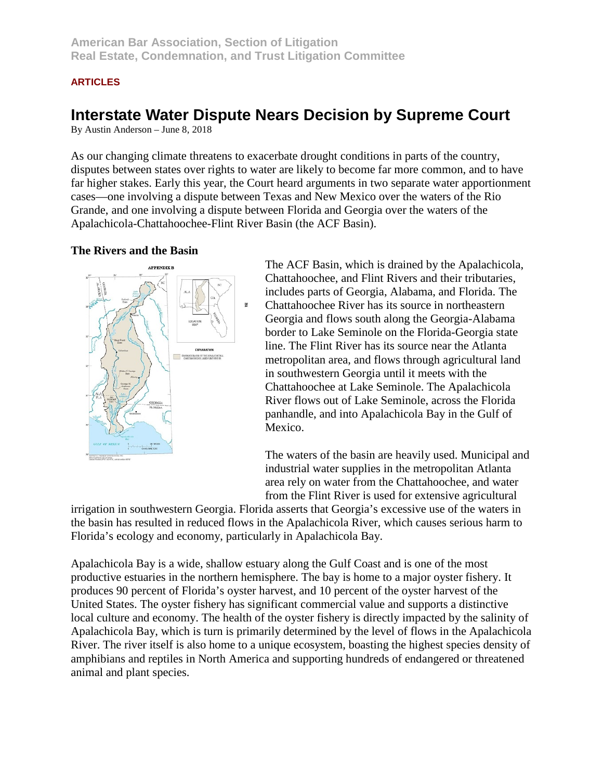# **ARTICLES**

# **Interstate Water Dispute Nears Decision by Supreme Court**

By Austin Anderson – June 8, 2018

As our changing climate threatens to exacerbate drought conditions in parts of the country, disputes between states over rights to water are likely to become far more common, and to have far higher stakes. Early this year, the Court heard arguments in two separate water apportionment cases—one involving a dispute between Texas and New Mexico over the waters of the Rio Grande, and one involving a dispute between Florida and Georgia over the waters of the Apalachicola-Chattahoochee-Flint River Basin (the ACF Basin).

#### **The Rivers and the Basin**



The ACF Basin, which is drained by the Apalachicola, Chattahoochee, and Flint Rivers and their tributaries, includes parts of Georgia, Alabama, and Florida. The Chattahoochee River has its source in northeastern Georgia and flows south along the Georgia-Alabama border to Lake Seminole on the Florida-Georgia state line. The Flint River has its source near the Atlanta metropolitan area, and flows through agricultural land in southwestern Georgia until it meets with the Chattahoochee at Lake Seminole. The Apalachicola River flows out of Lake Seminole, across the Florida panhandle, and into Apalachicola Bay in the Gulf of Mexico.

The waters of the basin are heavily used. Municipal and industrial water supplies in the metropolitan Atlanta area rely on water from the Chattahoochee, and water from the Flint River is used for extensive agricultural

irrigation in southwestern Georgia. Florida asserts that Georgia's excessive use of the waters in the basin has resulted in reduced flows in the Apalachicola River, which causes serious harm to Florida's ecology and economy, particularly in Apalachicola Bay.

Apalachicola Bay is a wide, shallow estuary along the Gulf Coast and is one of the most productive estuaries in the northern hemisphere. The bay is home to a major oyster fishery. It produces 90 percent of Florida's oyster harvest, and 10 percent of the oyster harvest of the United States. The oyster fishery has significant commercial value and supports a distinctive local culture and economy. The health of the oyster fishery is directly impacted by the salinity of Apalachicola Bay, which is turn is primarily determined by the level of flows in the Apalachicola River. The river itself is also home to a unique ecosystem, boasting the highest species density of amphibians and reptiles in North America and supporting hundreds of endangered or threatened animal and plant species.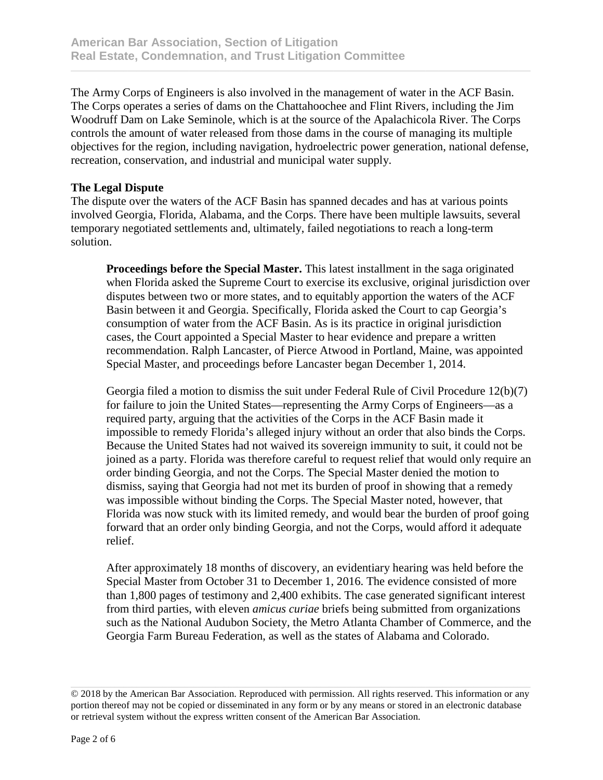The Army Corps of Engineers is also involved in the management of water in the ACF Basin. The Corps operates a series of dams on the Chattahoochee and Flint Rivers, including the Jim Woodruff Dam on Lake Seminole, which is at the source of the Apalachicola River. The Corps controls the amount of water released from those dams in the course of managing its multiple objectives for the region, including navigation, hydroelectric power generation, national defense, recreation, conservation, and industrial and municipal water supply.

## **The Legal Dispute**

The dispute over the waters of the ACF Basin has spanned decades and has at various points involved Georgia, Florida, Alabama, and the Corps. There have been multiple lawsuits, several temporary negotiated settlements and, ultimately, failed negotiations to reach a long-term solution.

**Proceedings before the Special Master.** This latest installment in the saga originated when Florida asked the Supreme Court to exercise its exclusive, original jurisdiction over disputes between two or more states, and to equitably apportion the waters of the ACF Basin between it and Georgia. Specifically, Florida asked the Court to cap Georgia's consumption of water from the ACF Basin. As is its practice in original jurisdiction cases, the Court appointed a Special Master to hear evidence and prepare a written recommendation. Ralph Lancaster, of Pierce Atwood in Portland, Maine, was appointed Special Master, and proceedings before Lancaster began December 1, 2014.

Georgia filed a motion to dismiss the suit under Federal Rule of Civil Procedure 12(b)(7) for failure to join the United States—representing the Army Corps of Engineers—as a required party, arguing that the activities of the Corps in the ACF Basin made it impossible to remedy Florida's alleged injury without an order that also binds the Corps. Because the United States had not waived its sovereign immunity to suit, it could not be joined as a party. Florida was therefore careful to request relief that would only require an order binding Georgia, and not the Corps. The Special Master denied the motion to dismiss, saying that Georgia had not met its burden of proof in showing that a remedy was impossible without binding the Corps. The Special Master noted, however, that Florida was now stuck with its limited remedy, and would bear the burden of proof going forward that an order only binding Georgia, and not the Corps, would afford it adequate relief.

After approximately 18 months of discovery, an evidentiary hearing was held before the Special Master from October 31 to December 1, 2016. The evidence consisted of more than 1,800 pages of testimony and 2,400 exhibits. The case generated significant interest from third parties, with eleven *amicus curiae* briefs being submitted from organizations such as the National Audubon Society, the Metro Atlanta Chamber of Commerce, and the Georgia Farm Bureau Federation, as well as the states of Alabama and Colorado.

<sup>© 2018</sup> by the American Bar Association. Reproduced with permission. All rights reserved. This information or any portion thereof may not be copied or disseminated in any form or by any means or stored in an electronic database or retrieval system without the express written consent of the American Bar Association.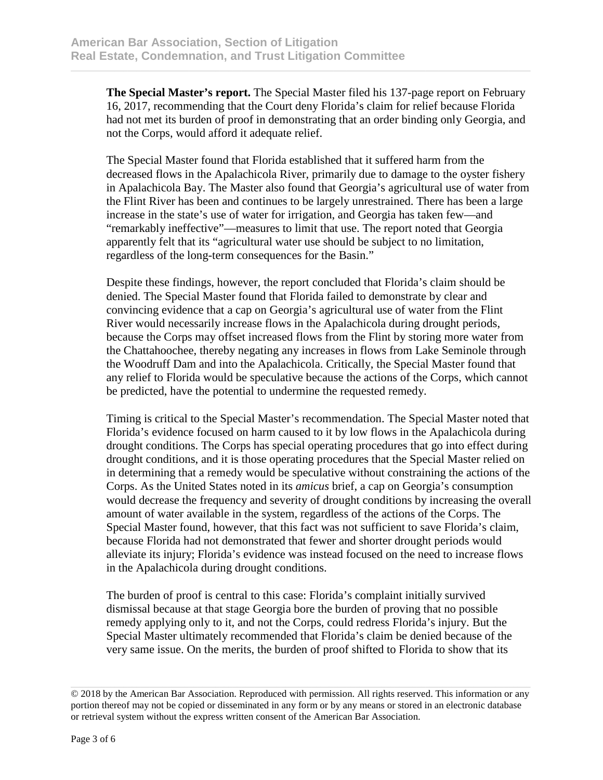**The Special Master's report.** The Special Master filed his 137-page report on February 16, 2017, recommending that the Court deny Florida's claim for relief because Florida had not met its burden of proof in demonstrating that an order binding only Georgia, and not the Corps, would afford it adequate relief.

The Special Master found that Florida established that it suffered harm from the decreased flows in the Apalachicola River, primarily due to damage to the oyster fishery in Apalachicola Bay. The Master also found that Georgia's agricultural use of water from the Flint River has been and continues to be largely unrestrained. There has been a large increase in the state's use of water for irrigation, and Georgia has taken few—and "remarkably ineffective"—measures to limit that use. The report noted that Georgia apparently felt that its "agricultural water use should be subject to no limitation, regardless of the long-term consequences for the Basin."

Despite these findings, however, the report concluded that Florida's claim should be denied. The Special Master found that Florida failed to demonstrate by clear and convincing evidence that a cap on Georgia's agricultural use of water from the Flint River would necessarily increase flows in the Apalachicola during drought periods, because the Corps may offset increased flows from the Flint by storing more water from the Chattahoochee, thereby negating any increases in flows from Lake Seminole through the Woodruff Dam and into the Apalachicola. Critically, the Special Master found that any relief to Florida would be speculative because the actions of the Corps, which cannot be predicted, have the potential to undermine the requested remedy.

Timing is critical to the Special Master's recommendation. The Special Master noted that Florida's evidence focused on harm caused to it by low flows in the Apalachicola during drought conditions. The Corps has special operating procedures that go into effect during drought conditions, and it is those operating procedures that the Special Master relied on in determining that a remedy would be speculative without constraining the actions of the Corps. As the United States noted in its *amicus* brief, a cap on Georgia's consumption would decrease the frequency and severity of drought conditions by increasing the overall amount of water available in the system, regardless of the actions of the Corps. The Special Master found, however, that this fact was not sufficient to save Florida's claim, because Florida had not demonstrated that fewer and shorter drought periods would alleviate its injury; Florida's evidence was instead focused on the need to increase flows in the Apalachicola during drought conditions.

The burden of proof is central to this case: Florida's complaint initially survived dismissal because at that stage Georgia bore the burden of proving that no possible remedy applying only to it, and not the Corps, could redress Florida's injury. But the Special Master ultimately recommended that Florida's claim be denied because of the very same issue. On the merits, the burden of proof shifted to Florida to show that its

<sup>© 2018</sup> by the American Bar Association. Reproduced with permission. All rights reserved. This information or any portion thereof may not be copied or disseminated in any form or by any means or stored in an electronic database or retrieval system without the express written consent of the American Bar Association.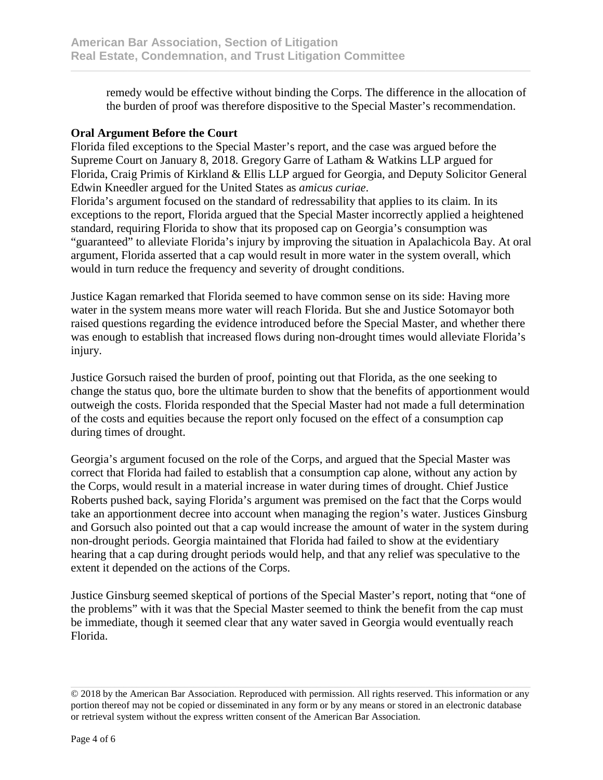remedy would be effective without binding the Corps. The difference in the allocation of the burden of proof was therefore dispositive to the Special Master's recommendation.

## **Oral Argument Before the Court**

Florida filed exceptions to the Special Master's report, and the case was argued before the Supreme Court on January 8, 2018. Gregory Garre of Latham & Watkins LLP argued for Florida, Craig Primis of Kirkland & Ellis LLP argued for Georgia, and Deputy Solicitor General Edwin Kneedler argued for the United States as *amicus curiae*.

Florida's argument focused on the standard of redressability that applies to its claim. In its exceptions to the report, Florida argued that the Special Master incorrectly applied a heightened standard, requiring Florida to show that its proposed cap on Georgia's consumption was "guaranteed" to alleviate Florida's injury by improving the situation in Apalachicola Bay. At oral argument, Florida asserted that a cap would result in more water in the system overall, which would in turn reduce the frequency and severity of drought conditions.

Justice Kagan remarked that Florida seemed to have common sense on its side: Having more water in the system means more water will reach Florida. But she and Justice Sotomayor both raised questions regarding the evidence introduced before the Special Master, and whether there was enough to establish that increased flows during non-drought times would alleviate Florida's injury.

Justice Gorsuch raised the burden of proof, pointing out that Florida, as the one seeking to change the status quo, bore the ultimate burden to show that the benefits of apportionment would outweigh the costs. Florida responded that the Special Master had not made a full determination of the costs and equities because the report only focused on the effect of a consumption cap during times of drought.

Georgia's argument focused on the role of the Corps, and argued that the Special Master was correct that Florida had failed to establish that a consumption cap alone, without any action by the Corps, would result in a material increase in water during times of drought. Chief Justice Roberts pushed back, saying Florida's argument was premised on the fact that the Corps would take an apportionment decree into account when managing the region's water. Justices Ginsburg and Gorsuch also pointed out that a cap would increase the amount of water in the system during non-drought periods. Georgia maintained that Florida had failed to show at the evidentiary hearing that a cap during drought periods would help, and that any relief was speculative to the extent it depended on the actions of the Corps.

Justice Ginsburg seemed skeptical of portions of the Special Master's report, noting that "one of the problems" with it was that the Special Master seemed to think the benefit from the cap must be immediate, though it seemed clear that any water saved in Georgia would eventually reach Florida.

<sup>© 2018</sup> by the American Bar Association. Reproduced with permission. All rights reserved. This information or any portion thereof may not be copied or disseminated in any form or by any means or stored in an electronic database or retrieval system without the express written consent of the American Bar Association.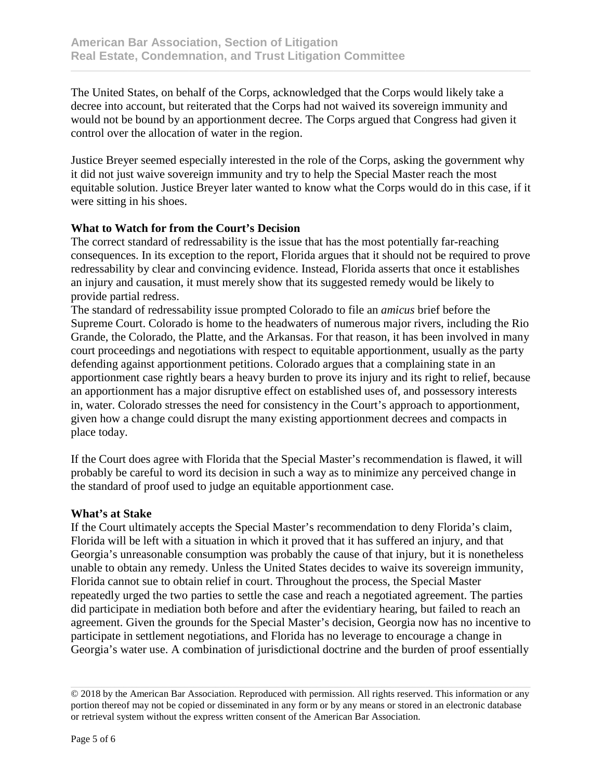The United States, on behalf of the Corps, acknowledged that the Corps would likely take a decree into account, but reiterated that the Corps had not waived its sovereign immunity and would not be bound by an apportionment decree. The Corps argued that Congress had given it control over the allocation of water in the region.

Justice Breyer seemed especially interested in the role of the Corps, asking the government why it did not just waive sovereign immunity and try to help the Special Master reach the most equitable solution. Justice Breyer later wanted to know what the Corps would do in this case, if it were sitting in his shoes.

# **What to Watch for from the Court's Decision**

The correct standard of redressability is the issue that has the most potentially far-reaching consequences. In its exception to the report, Florida argues that it should not be required to prove redressability by clear and convincing evidence. Instead, Florida asserts that once it establishes an injury and causation, it must merely show that its suggested remedy would be likely to provide partial redress.

The standard of redressability issue prompted Colorado to file an *amicus* brief before the Supreme Court. Colorado is home to the headwaters of numerous major rivers, including the Rio Grande, the Colorado, the Platte, and the Arkansas. For that reason, it has been involved in many court proceedings and negotiations with respect to equitable apportionment, usually as the party defending against apportionment petitions. Colorado argues that a complaining state in an apportionment case rightly bears a heavy burden to prove its injury and its right to relief, because an apportionment has a major disruptive effect on established uses of, and possessory interests in, water. Colorado stresses the need for consistency in the Court's approach to apportionment, given how a change could disrupt the many existing apportionment decrees and compacts in place today.

If the Court does agree with Florida that the Special Master's recommendation is flawed, it will probably be careful to word its decision in such a way as to minimize any perceived change in the standard of proof used to judge an equitable apportionment case.

#### **What's at Stake**

If the Court ultimately accepts the Special Master's recommendation to deny Florida's claim, Florida will be left with a situation in which it proved that it has suffered an injury, and that Georgia's unreasonable consumption was probably the cause of that injury, but it is nonetheless unable to obtain any remedy. Unless the United States decides to waive its sovereign immunity, Florida cannot sue to obtain relief in court. Throughout the process, the Special Master repeatedly urged the two parties to settle the case and reach a negotiated agreement. The parties did participate in mediation both before and after the evidentiary hearing, but failed to reach an agreement. Given the grounds for the Special Master's decision, Georgia now has no incentive to participate in settlement negotiations, and Florida has no leverage to encourage a change in Georgia's water use. A combination of jurisdictional doctrine and the burden of proof essentially

<sup>© 2018</sup> by the American Bar Association. Reproduced with permission. All rights reserved. This information or any portion thereof may not be copied or disseminated in any form or by any means or stored in an electronic database or retrieval system without the express written consent of the American Bar Association.